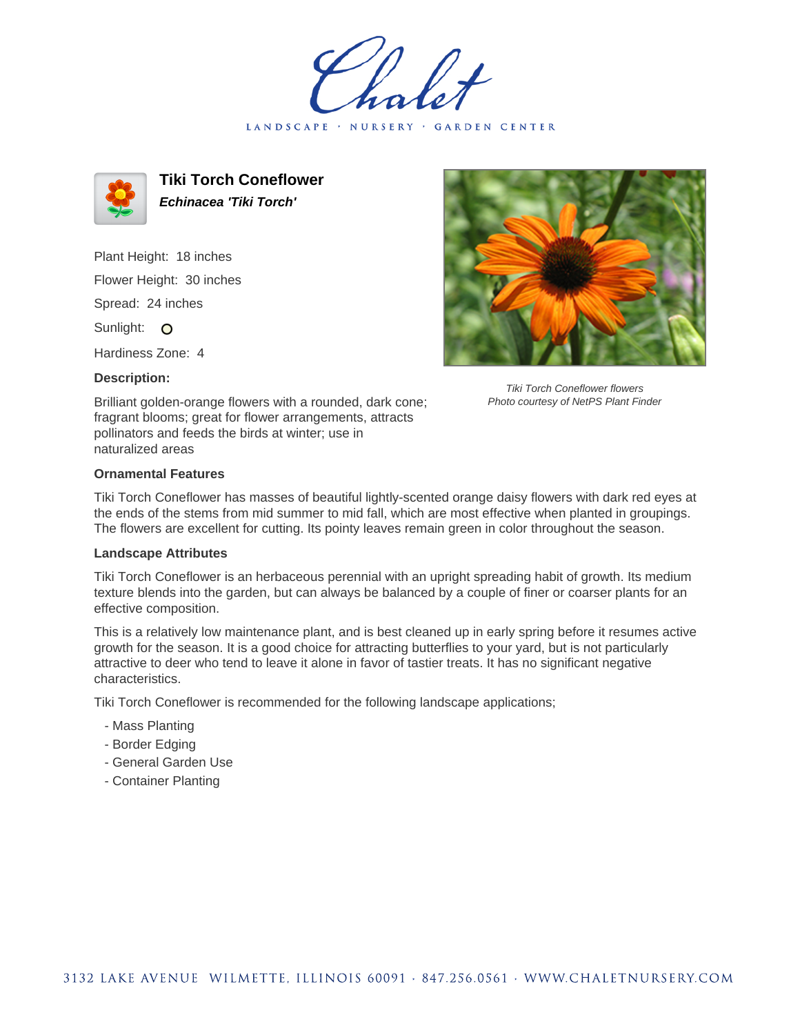LANDSCAPE · NURSERY · GARDEN CENTER



**Tiki Torch Coneflower Echinacea 'Tiki Torch'**

Plant Height: 18 inches Flower Height: 30 inches Spread: 24 inches Sunlight: O

Hardiness Zone: 4

## **Description:**



Tiki Torch Coneflower flowers Photo courtesy of NetPS Plant Finder

Brilliant golden-orange flowers with a rounded, dark cone; fragrant blooms; great for flower arrangements, attracts pollinators and feeds the birds at winter; use in naturalized areas

## **Ornamental Features**

Tiki Torch Coneflower has masses of beautiful lightly-scented orange daisy flowers with dark red eyes at the ends of the stems from mid summer to mid fall, which are most effective when planted in groupings. The flowers are excellent for cutting. Its pointy leaves remain green in color throughout the season.

## **Landscape Attributes**

Tiki Torch Coneflower is an herbaceous perennial with an upright spreading habit of growth. Its medium texture blends into the garden, but can always be balanced by a couple of finer or coarser plants for an effective composition.

This is a relatively low maintenance plant, and is best cleaned up in early spring before it resumes active growth for the season. It is a good choice for attracting butterflies to your yard, but is not particularly attractive to deer who tend to leave it alone in favor of tastier treats. It has no significant negative characteristics.

Tiki Torch Coneflower is recommended for the following landscape applications;

- Mass Planting
- Border Edging
- General Garden Use
- Container Planting